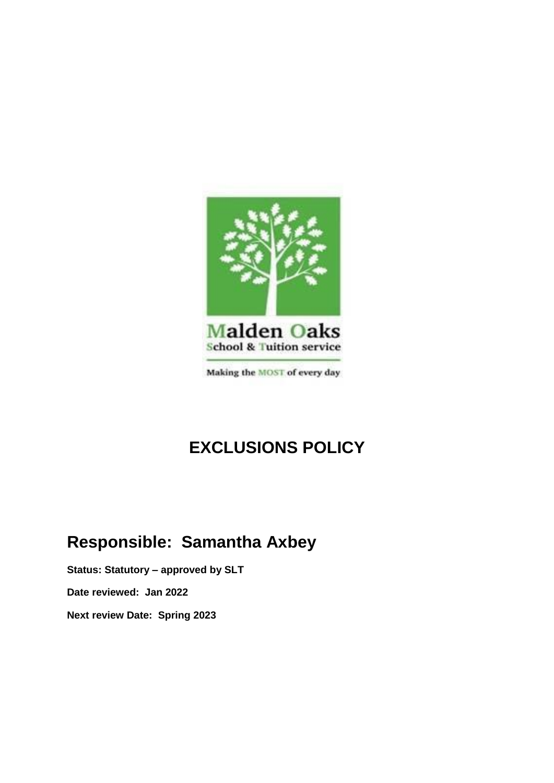

# **EXCLUSIONS POLICY**

# **Responsible: Samantha Axbey**

**Status: Statutory – approved by SLT Date reviewed: Jan 2022 Next review Date: Spring 2023**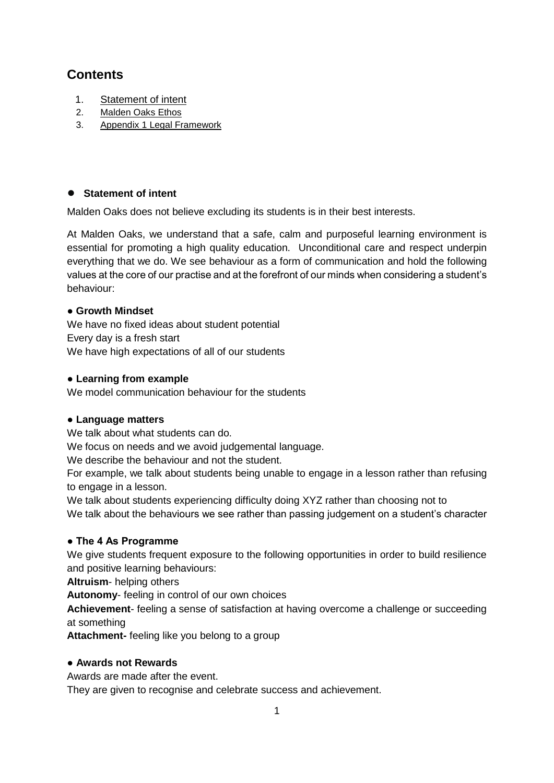# **Contents**

- 1. [Statement of intent](#page-1-0)
- 2. Malden Oaks Ethos
- 3. Appendix 1 Legal Framework

# <span id="page-1-0"></span>● **Statement of intent**

Malden Oaks does not believe excluding its students is in their best interests.

At Malden Oaks, we understand that a safe, calm and purposeful learning environment is essential for promoting a high quality education. Unconditional care and respect underpin everything that we do. We see behaviour as a form of communication and hold the following values at the core of our practise and at the forefront of our minds when considering a student's behaviour:

# ● **Growth Mindset**

We have no fixed ideas about student potential Every day is a fresh start We have high expectations of all of our students

#### ● **Learning from example**

We model communication behaviour for the students

# ● **Language matters**

We talk about what students can do.

We focus on needs and we avoid judgemental language.

We describe the behaviour and not the student.

For example, we talk about students being unable to engage in a lesson rather than refusing to engage in a lesson.

We talk about students experiencing difficulty doing XYZ rather than choosing not to We talk about the behaviours we see rather than passing judgement on a student's character

# **● The 4 As Programme**

We give students frequent exposure to the following opportunities in order to build resilience and positive learning behaviours:

**Altruism**- helping others

**Autonomy**- feeling in control of our own choices

**Achievement**- feeling a sense of satisfaction at having overcome a challenge or succeeding at something

**Attachment-** feeling like you belong to a group

#### ● **Awards not Rewards**

Awards are made after the event.

They are given to recognise and celebrate success and achievement.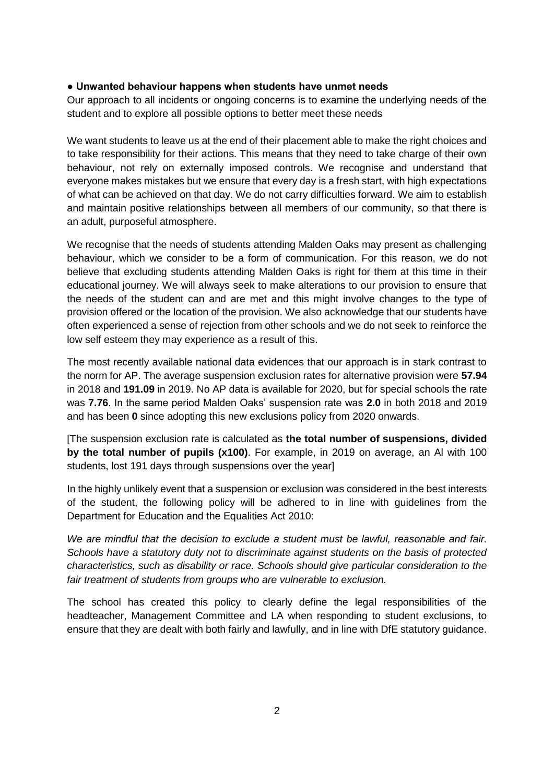#### **● Unwanted behaviour happens when students have unmet needs**

Our approach to all incidents or ongoing concerns is to examine the underlying needs of the student and to explore all possible options to better meet these needs

We want students to leave us at the end of their placement able to make the right choices and to take responsibility for their actions. This means that they need to take charge of their own behaviour, not rely on externally imposed controls. We recognise and understand that everyone makes mistakes but we ensure that every day is a fresh start, with high expectations of what can be achieved on that day. We do not carry difficulties forward. We aim to establish and maintain positive relationships between all members of our community, so that there is an adult, purposeful atmosphere.

We recognise that the needs of students attending Malden Oaks may present as challenging behaviour, which we consider to be a form of communication. For this reason, we do not believe that excluding students attending Malden Oaks is right for them at this time in their educational journey. We will always seek to make alterations to our provision to ensure that the needs of the student can and are met and this might involve changes to the type of provision offered or the location of the provision. We also acknowledge that our students have often experienced a sense of rejection from other schools and we do not seek to reinforce the low self esteem they may experience as a result of this.

The most recently available national data evidences that our approach is in stark contrast to the norm for AP. The average suspension exclusion rates for alternative provision were **57.94** in 2018 and **191.09** in 2019. No AP data is available for 2020, but for special schools the rate was **7.76**. In the same period Malden Oaks' suspension rate was **2.0** in both 2018 and 2019 and has been **0** since adopting this new exclusions policy from 2020 onwards.

[The suspension exclusion rate is calculated as **the total number of suspensions, divided by the total number of pupils (x100)**. For example, in 2019 on average, an Al with 100 students, lost 191 days through suspensions over the year]

In the highly unlikely event that a suspension or exclusion was considered in the best interests of the student, the following policy will be adhered to in line with guidelines from the Department for Education and the Equalities Act 2010:

*We are mindful that the decision to exclude a student must be lawful, reasonable and fair. Schools have a statutory duty not to discriminate against students on the basis of protected characteristics, such as disability or race. Schools should give particular consideration to the fair treatment of students from groups who are vulnerable to exclusion.*

The school has created this policy to clearly define the legal responsibilities of the headteacher, Management Committee and LA when responding to student exclusions, to ensure that they are dealt with both fairly and lawfully, and in line with DfE statutory guidance.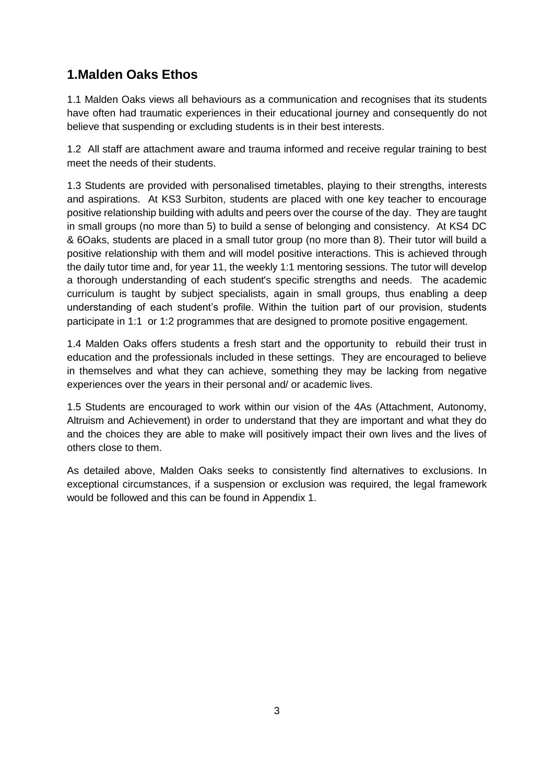# **1.Malden Oaks Ethos**

1.1 Malden Oaks views all behaviours as a communication and recognises that its students have often had traumatic experiences in their educational journey and consequently do not believe that suspending or excluding students is in their best interests.

1.2 All staff are attachment aware and trauma informed and receive regular training to best meet the needs of their students.

1.3 Students are provided with personalised timetables, playing to their strengths, interests and aspirations. At KS3 Surbiton, students are placed with one key teacher to encourage positive relationship building with adults and peers over the course of the day. They are taught in small groups (no more than 5) to build a sense of belonging and consistency. At KS4 DC & 6Oaks, students are placed in a small tutor group (no more than 8). Their tutor will build a positive relationship with them and will model positive interactions. This is achieved through the daily tutor time and, for year 11, the weekly 1:1 mentoring sessions. The tutor will develop a thorough understanding of each student's specific strengths and needs. The academic curriculum is taught by subject specialists, again in small groups, thus enabling a deep understanding of each student's profile. Within the tuition part of our provision, students participate in 1:1 or 1:2 programmes that are designed to promote positive engagement.

1.4 Malden Oaks offers students a fresh start and the opportunity to rebuild their trust in education and the professionals included in these settings. They are encouraged to believe in themselves and what they can achieve, something they may be lacking from negative experiences over the years in their personal and/ or academic lives.

1.5 Students are encouraged to work within our vision of the 4As (Attachment, Autonomy, Altruism and Achievement) in order to understand that they are important and what they do and the choices they are able to make will positively impact their own lives and the lives of others close to them.

As detailed above, Malden Oaks seeks to consistently find alternatives to exclusions. In exceptional circumstances, if a suspension or exclusion was required, the legal framework would be followed and this can be found in Appendix 1.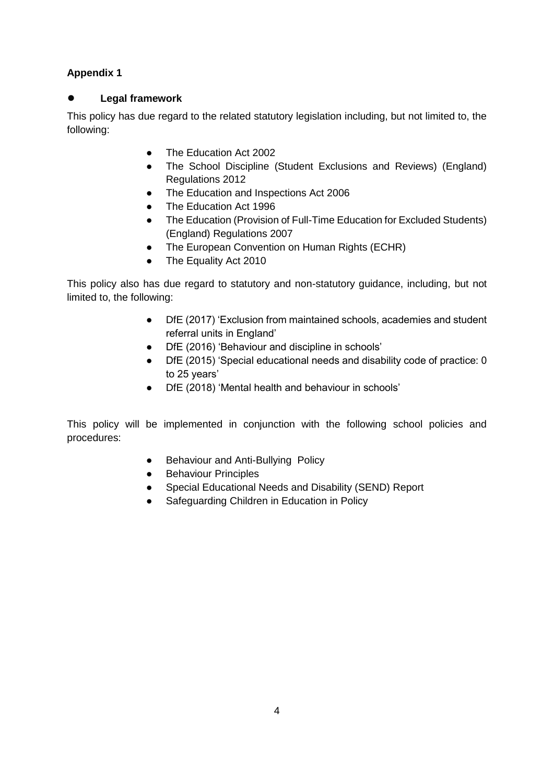# **Appendix 1**

# **Legal framework**

This policy has due regard to the related statutory legislation including, but not limited to, the following:

- The Education Act 2002
- The School Discipline (Student Exclusions and Reviews) (England) Regulations 2012
	- The Education and Inspections Act 2006
- The Education Act 1996
- The Education (Provision of Full-Time Education for Excluded Students) (England) Regulations 2007
- The European Convention on Human Rights (ECHR)
- The Equality Act 2010

This policy also has due regard to statutory and non-statutory guidance, including, but not limited to, the following:

- DfE (2017) 'Exclusion from maintained schools, academies and student referral units in England'
- DfE (2016) 'Behaviour and discipline in schools'
- DfE (2015) 'Special educational needs and disability code of practice: 0 to 25 years'
- DfE (2018) 'Mental health and behaviour in schools'

This policy will be implemented in conjunction with the following school policies and procedures:

- Behaviour and Anti-Bullying Policy
- Behaviour Principles
- Special Educational Needs and Disability (SEND) Report
- Safeguarding Children in Education in Policy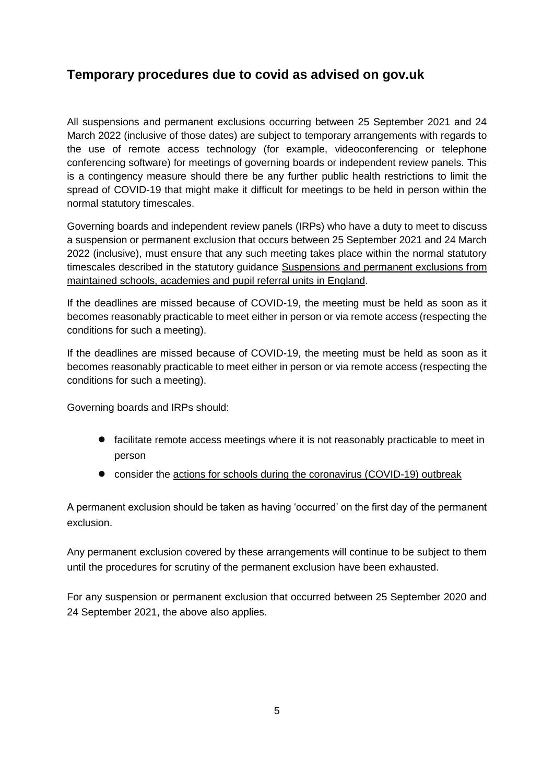# **Temporary procedures due to covid as advised on gov.uk**

All suspensions and permanent exclusions occurring between 25 September 2021 and 24 March 2022 (inclusive of those dates) are subject to temporary arrangements with regards to the use of remote access technology (for example, videoconferencing or telephone conferencing software) for meetings of governing boards or independent review panels. This is a contingency measure should there be any further public health restrictions to limit the spread of COVID-19 that might make it difficult for meetings to be held in person within the normal statutory timescales.

Governing boards and independent review panels (IRPs) who have a duty to meet to discuss a suspension or permanent exclusion that occurs between 25 September 2021 and 24 March 2022 (inclusive), must ensure that any such meeting takes place within the normal statutory timescales described in the statutory guidance Suspensions and permanent exclusions from [maintained schools, academies and pupil referral units in England.](https://www.gov.uk/government/publications/school-exclusion)

If the deadlines are missed because of COVID-19, the meeting must be held as soon as it becomes reasonably practicable to meet either in person or via remote access (respecting the conditions for such a meeting).

If the deadlines are missed because of COVID-19, the meeting must be held as soon as it becomes reasonably practicable to meet either in person or via remote access (respecting the conditions for such a meeting).

Governing boards and IRPs should:

- facilitate remote access meetings where it is not reasonably practicable to meet in person
- consider the [actions for schools during the coronavirus \(COVID-19\) outbreak](https://www.gov.uk/government/publications/actions-for-schools-during-the-coronavirus-outbreak)

A permanent exclusion should be taken as having 'occurred' on the first day of the permanent exclusion.

Any permanent exclusion covered by these arrangements will continue to be subject to them until the procedures for scrutiny of the permanent exclusion have been exhausted.

For any suspension or permanent exclusion that occurred between 25 September 2020 and 24 September 2021, the above also applies.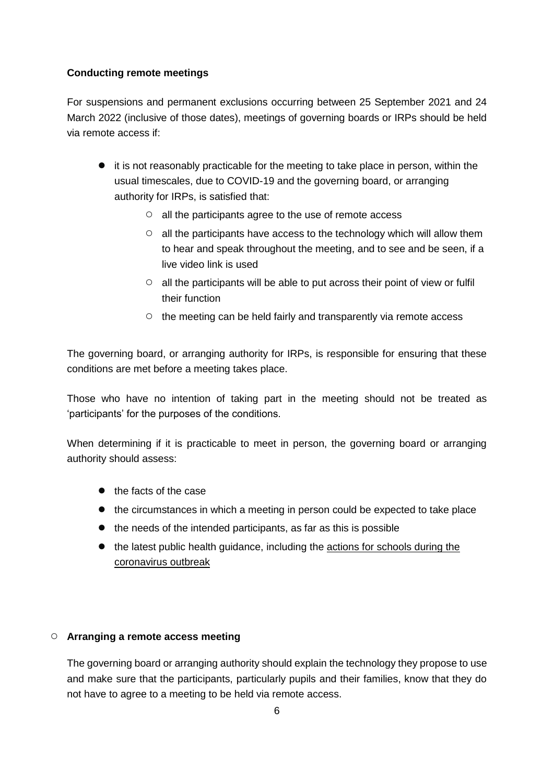#### **Conducting remote meetings**

For suspensions and permanent exclusions occurring between 25 September 2021 and 24 March 2022 (inclusive of those dates), meetings of governing boards or IRPs should be held via remote access if:

- it is not reasonably practicable for the meeting to take place in person, within the usual timescales, due to COVID-19 and the governing board, or arranging authority for IRPs, is satisfied that:
	- all the participants agree to the use of remote access
	- all the participants have access to the technology which will allow them to hear and speak throughout the meeting, and to see and be seen, if a live video link is used
	- all the participants will be able to put across their point of view or fulfil their function
	- the meeting can be held fairly and transparently via remote access

The governing board, or arranging authority for IRPs, is responsible for ensuring that these conditions are met before a meeting takes place.

Those who have no intention of taking part in the meeting should not be treated as 'participants' for the purposes of the conditions.

When determining if it is practicable to meet in person, the governing board or arranging authority should assess:

- the facts of the case
- the circumstances in which a meeting in person could be expected to take place
- the needs of the intended participants, as far as this is possible
- the latest public health guidance, including the [actions for schools during the](https://www.gov.uk/government/publications/actions-for-schools-during-the-coronavirus-outbreak)  [coronavirus outbreak](https://www.gov.uk/government/publications/actions-for-schools-during-the-coronavirus-outbreak)

# ○ **Arranging a remote access meeting**

The governing board or arranging authority should explain the technology they propose to use and make sure that the participants, particularly pupils and their families, know that they do not have to agree to a meeting to be held via remote access.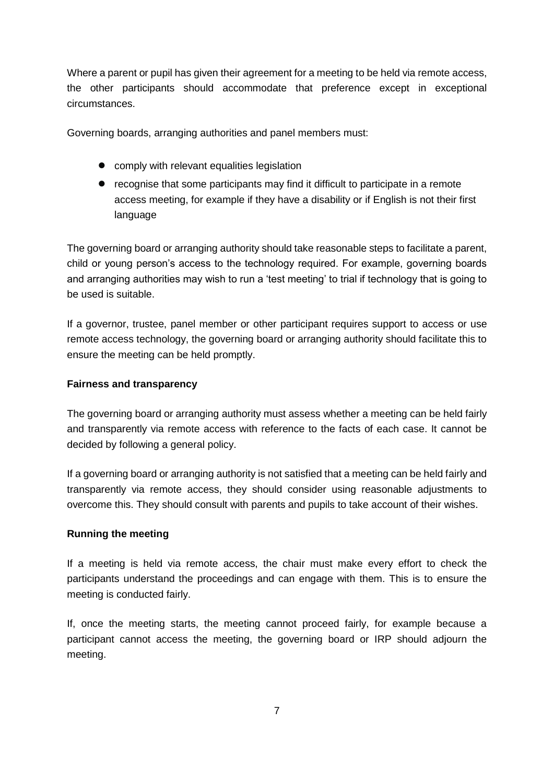Where a parent or pupil has given their agreement for a meeting to be held via remote access, the other participants should accommodate that preference except in exceptional circumstances.

Governing boards, arranging authorities and panel members must:

- comply with relevant equalities legislation
- recognise that some participants may find it difficult to participate in a remote access meeting, for example if they have a disability or if English is not their first language

The governing board or arranging authority should take reasonable steps to facilitate a parent, child or young person's access to the technology required. For example, governing boards and arranging authorities may wish to run a 'test meeting' to trial if technology that is going to be used is suitable.

If a governor, trustee, panel member or other participant requires support to access or use remote access technology, the governing board or arranging authority should facilitate this to ensure the meeting can be held promptly.

#### **Fairness and transparency**

The governing board or arranging authority must assess whether a meeting can be held fairly and transparently via remote access with reference to the facts of each case. It cannot be decided by following a general policy.

If a governing board or arranging authority is not satisfied that a meeting can be held fairly and transparently via remote access, they should consider using reasonable adjustments to overcome this. They should consult with parents and pupils to take account of their wishes.

#### **Running the meeting**

If a meeting is held via remote access, the chair must make every effort to check the participants understand the proceedings and can engage with them. This is to ensure the meeting is conducted fairly.

If, once the meeting starts, the meeting cannot proceed fairly, for example because a participant cannot access the meeting, the governing board or IRP should adjourn the meeting.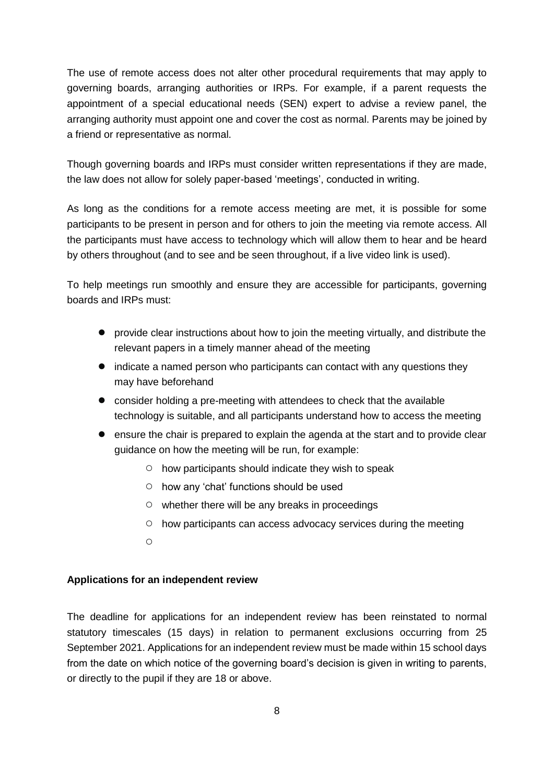The use of remote access does not alter other procedural requirements that may apply to governing boards, arranging authorities or IRPs. For example, if a parent requests the appointment of a special educational needs (SEN) expert to advise a review panel, the arranging authority must appoint one and cover the cost as normal. Parents may be joined by a friend or representative as normal.

Though governing boards and IRPs must consider written representations if they are made, the law does not allow for solely paper-based 'meetings', conducted in writing.

As long as the conditions for a remote access meeting are met, it is possible for some participants to be present in person and for others to join the meeting via remote access. All the participants must have access to technology which will allow them to hear and be heard by others throughout (and to see and be seen throughout, if a live video link is used).

To help meetings run smoothly and ensure they are accessible for participants, governing boards and IRPs must:

- provide clear instructions about how to join the meeting virtually, and distribute the relevant papers in a timely manner ahead of the meeting
- indicate a named person who participants can contact with any questions they may have beforehand
- consider holding a pre-meeting with attendees to check that the available technology is suitable, and all participants understand how to access the meeting
- ensure the chair is prepared to explain the agenda at the start and to provide clear guidance on how the meeting will be run, for example:
	- how participants should indicate they wish to speak
	- how any 'chat' functions should be used
	- $\circ$  whether there will be any breaks in proceedings
	- how participants can access advocacy services during the meeting
	- $\circ$

#### **Applications for an independent review**

The deadline for applications for an independent review has been reinstated to normal statutory timescales (15 days) in relation to permanent exclusions occurring from 25 September 2021. Applications for an independent review must be made within 15 school days from the date on which notice of the governing board's decision is given in writing to parents, or directly to the pupil if they are 18 or above.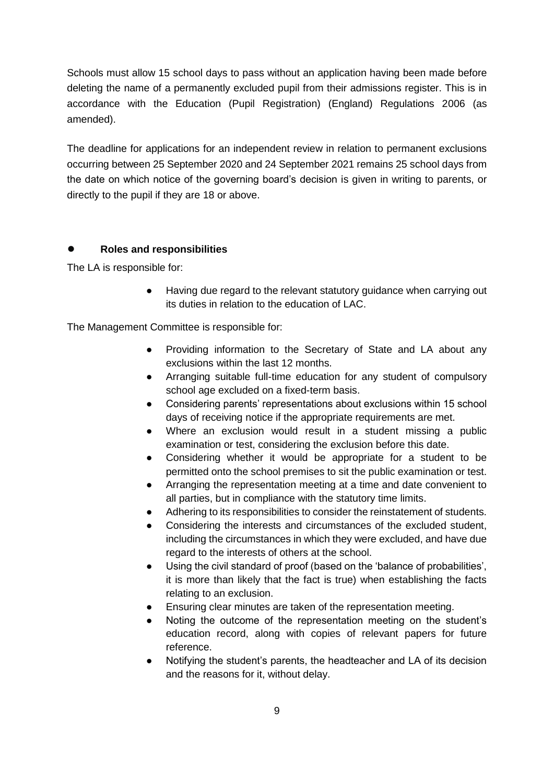Schools must allow 15 school days to pass without an application having been made before deleting the name of a permanently excluded pupil from their admissions register. This is in accordance with the Education (Pupil Registration) (England) Regulations 2006 (as amended).

The deadline for applications for an independent review in relation to permanent exclusions occurring between 25 September 2020 and 24 September 2021 remains 25 school days from the date on which notice of the governing board's decision is given in writing to parents, or directly to the pupil if they are 18 or above.

#### ● **Roles and responsibilities**

The LA is responsible for:

● Having due regard to the relevant statutory guidance when carrying out its duties in relation to the education of LAC.

The Management Committee is responsible for:

- Providing information to the Secretary of State and LA about any exclusions within the last 12 months.
- Arranging suitable full-time education for any student of compulsory school age excluded on a fixed-term basis.
- Considering parents' representations about exclusions within 15 school days of receiving notice if the appropriate requirements are met.
- Where an exclusion would result in a student missing a public examination or test, considering the exclusion before this date.
- Considering whether it would be appropriate for a student to be permitted onto the school premises to sit the public examination or test.
- Arranging the representation meeting at a time and date convenient to all parties, but in compliance with the statutory time limits.
- Adhering to its responsibilities to consider the reinstatement of students.
- Considering the interests and circumstances of the excluded student, including the circumstances in which they were excluded, and have due regard to the interests of others at the school.
- Using the civil standard of proof (based on the 'balance of probabilities', it is more than likely that the fact is true) when establishing the facts relating to an exclusion.
- Ensuring clear minutes are taken of the representation meeting.
- Noting the outcome of the representation meeting on the student's education record, along with copies of relevant papers for future reference.
- Notifying the student's parents, the headteacher and LA of its decision and the reasons for it, without delay.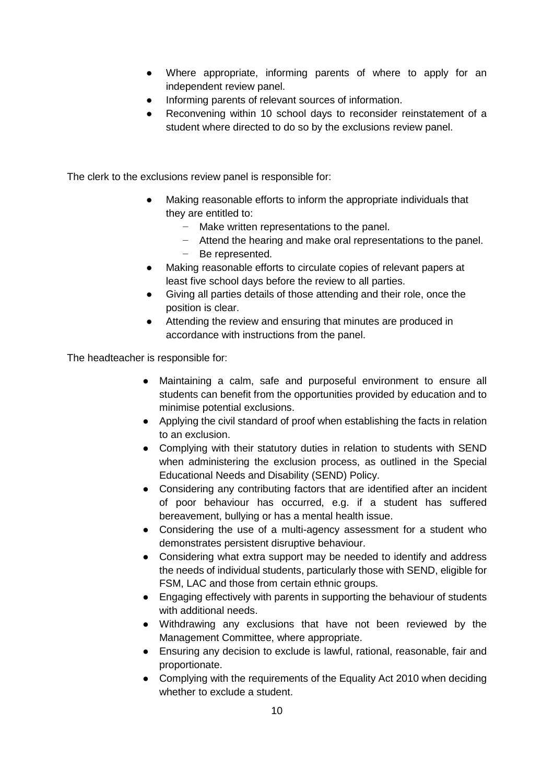- Where appropriate, informing parents of where to apply for an independent review panel.
- Informing parents of relevant sources of information.
- Reconvening within 10 school days to reconsider reinstatement of a student where directed to do so by the exclusions review panel.

The clerk to the exclusions review panel is responsible for:

- Making reasonable efforts to inform the appropriate individuals that they are entitled to:
	- − Make written representations to the panel.
	- − Attend the hearing and make oral representations to the panel.
	- − Be represented.
- Making reasonable efforts to circulate copies of relevant papers at least five school days before the review to all parties.
- Giving all parties details of those attending and their role, once the position is clear.
- Attending the review and ensuring that minutes are produced in accordance with instructions from the panel.

The headteacher is responsible for:

- Maintaining a calm, safe and purposeful environment to ensure all students can benefit from the opportunities provided by education and to minimise potential exclusions.
- Applying the civil standard of proof when establishing the facts in relation to an exclusion.
- Complying with their statutory duties in relation to students with SEND when administering the exclusion process, as outlined in the Special Educational Needs and Disability (SEND) Policy.
- Considering any contributing factors that are identified after an incident of poor behaviour has occurred, e.g. if a student has suffered bereavement, bullying or has a mental health issue.
- Considering the use of a multi-agency assessment for a student who demonstrates persistent disruptive behaviour.
- Considering what extra support may be needed to identify and address the needs of individual students, particularly those with SEND, eligible for FSM, LAC and those from certain ethnic groups.
- Engaging effectively with parents in supporting the behaviour of students with additional needs.
- Withdrawing any exclusions that have not been reviewed by the Management Committee, where appropriate.
- Ensuring any decision to exclude is lawful, rational, reasonable, fair and proportionate.
- Complying with the requirements of the Equality Act 2010 when deciding whether to exclude a student.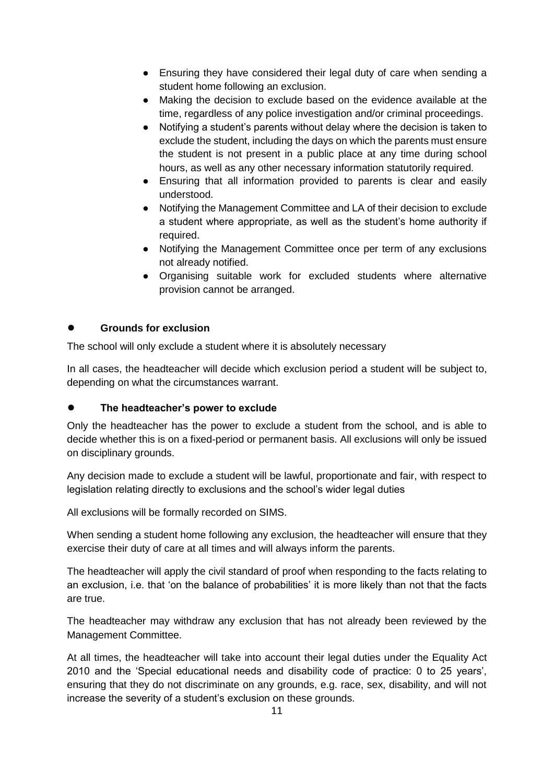- Ensuring they have considered their legal duty of care when sending a student home following an exclusion.
- Making the decision to exclude based on the evidence available at the time, regardless of any police investigation and/or criminal proceedings.
- Notifying a student's parents without delay where the decision is taken to exclude the student, including the days on which the parents must ensure the student is not present in a public place at any time during school hours, as well as any other necessary information statutorily required.
- Ensuring that all information provided to parents is clear and easily understood.
- Notifying the Management Committee and LA of their decision to exclude a student where appropriate, as well as the student's home authority if required.
- Notifying the Management Committee once per term of any exclusions not already notified.
- Organising suitable work for excluded students where alternative provision cannot be arranged.

# **Grounds for exclusion**

The school will only exclude a student where it is absolutely necessary

In all cases, the headteacher will decide which exclusion period a student will be subject to, depending on what the circumstances warrant.

# The headteacher's power to exclude

Only the headteacher has the power to exclude a student from the school, and is able to decide whether this is on a fixed-period or permanent basis. All exclusions will only be issued on disciplinary grounds.

Any decision made to exclude a student will be lawful, proportionate and fair, with respect to legislation relating directly to exclusions and the school's wider legal duties

All exclusions will be formally recorded on SIMS.

When sending a student home following any exclusion, the headteacher will ensure that they exercise their duty of care at all times and will always inform the parents.

The headteacher will apply the civil standard of proof when responding to the facts relating to an exclusion, i.e. that 'on the balance of probabilities' it is more likely than not that the facts are true.

The headteacher may withdraw any exclusion that has not already been reviewed by the Management Committee.

At all times, the headteacher will take into account their legal duties under the Equality Act 2010 and the 'Special educational needs and disability code of practice: 0 to 25 years', ensuring that they do not discriminate on any grounds, e.g. race, sex, disability, and will not increase the severity of a student's exclusion on these grounds.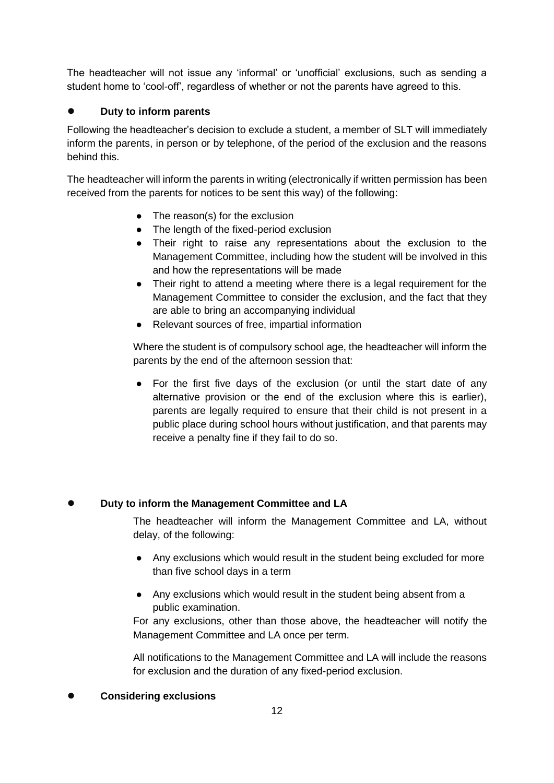The headteacher will not issue any 'informal' or 'unofficial' exclusions, such as sending a student home to 'cool-off', regardless of whether or not the parents have agreed to this.

### ● **Duty to inform parents**

Following the headteacher's decision to exclude a student, a member of SLT will immediately inform the parents, in person or by telephone, of the period of the exclusion and the reasons behind this.

The headteacher will inform the parents in writing (electronically if written permission has been received from the parents for notices to be sent this way) of the following:

- The reason(s) for the exclusion
- The length of the fixed-period exclusion
- Their right to raise any representations about the exclusion to the Management Committee, including how the student will be involved in this and how the representations will be made
- Their right to attend a meeting where there is a legal requirement for the Management Committee to consider the exclusion, and the fact that they are able to bring an accompanying individual
- Relevant sources of free, impartial information

Where the student is of compulsory school age, the headteacher will inform the parents by the end of the afternoon session that:

For the first five days of the exclusion (or until the start date of any alternative provision or the end of the exclusion where this is earlier), parents are legally required to ensure that their child is not present in a public place during school hours without justification, and that parents may receive a penalty fine if they fail to do so.

#### **Duty to inform the Management Committee and LA**

The headteacher will inform the Management Committee and LA, without delay, of the following:

- Any exclusions which would result in the student being excluded for more than five school days in a term
- Any exclusions which would result in the student being absent from a public examination.

For any exclusions, other than those above, the headteacher will notify the Management Committee and LA once per term.

All notifications to the Management Committee and LA will include the reasons for exclusion and the duration of any fixed-period exclusion.

#### ● **Considering exclusions**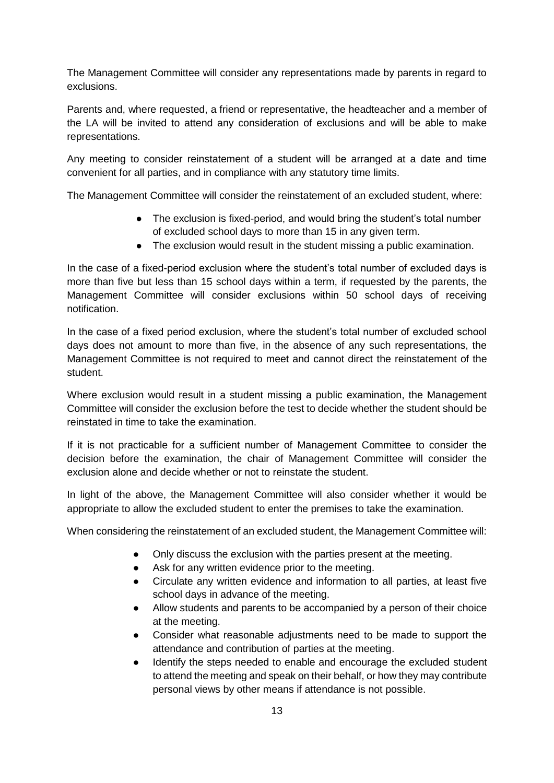The Management Committee will consider any representations made by parents in regard to exclusions.

Parents and, where requested, a friend or representative, the headteacher and a member of the LA will be invited to attend any consideration of exclusions and will be able to make representations.

Any meeting to consider reinstatement of a student will be arranged at a date and time convenient for all parties, and in compliance with any statutory time limits.

The Management Committee will consider the reinstatement of an excluded student, where:

- The exclusion is fixed-period, and would bring the student's total number of excluded school days to more than 15 in any given term.
- The exclusion would result in the student missing a public examination.

In the case of a fixed-period exclusion where the student's total number of excluded days is more than five but less than 15 school days within a term, if requested by the parents, the Management Committee will consider exclusions within 50 school days of receiving notification.

In the case of a fixed period exclusion, where the student's total number of excluded school days does not amount to more than five, in the absence of any such representations, the Management Committee is not required to meet and cannot direct the reinstatement of the student.

Where exclusion would result in a student missing a public examination, the Management Committee will consider the exclusion before the test to decide whether the student should be reinstated in time to take the examination.

If it is not practicable for a sufficient number of Management Committee to consider the decision before the examination, the chair of Management Committee will consider the exclusion alone and decide whether or not to reinstate the student.

In light of the above, the Management Committee will also consider whether it would be appropriate to allow the excluded student to enter the premises to take the examination.

When considering the reinstatement of an excluded student, the Management Committee will:

- Only discuss the exclusion with the parties present at the meeting.
- Ask for any written evidence prior to the meeting.
- Circulate any written evidence and information to all parties, at least five school days in advance of the meeting.
- Allow students and parents to be accompanied by a person of their choice at the meeting.
- Consider what reasonable adjustments need to be made to support the attendance and contribution of parties at the meeting.
- Identify the steps needed to enable and encourage the excluded student to attend the meeting and speak on their behalf, or how they may contribute personal views by other means if attendance is not possible.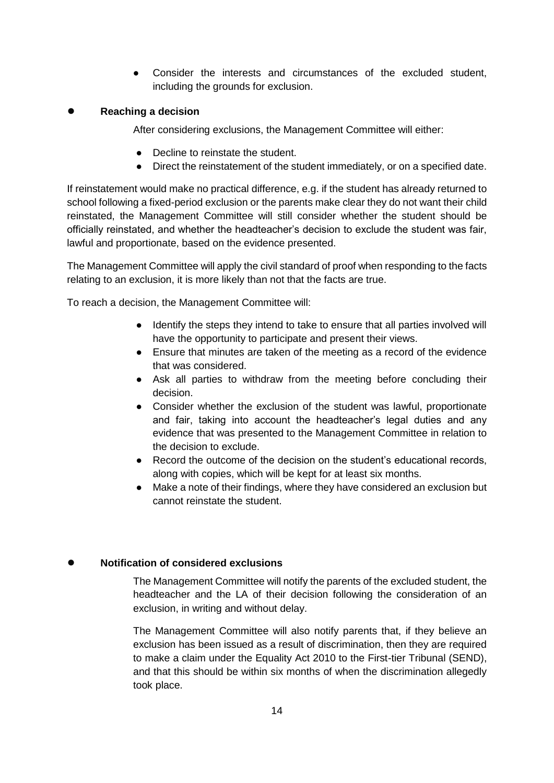- Consider the interests and circumstances of the excluded student, including the grounds for exclusion.
- **Reaching a decision**
	- After considering exclusions, the Management Committee will either:
	- Decline to reinstate the student.
	- Direct the reinstatement of the student immediately, or on a specified date.

If reinstatement would make no practical difference, e.g. if the student has already returned to school following a fixed-period exclusion or the parents make clear they do not want their child reinstated, the Management Committee will still consider whether the student should be officially reinstated, and whether the headteacher's decision to exclude the student was fair, lawful and proportionate, based on the evidence presented.

The Management Committee will apply the civil standard of proof when responding to the facts relating to an exclusion, it is more likely than not that the facts are true.

To reach a decision, the Management Committee will:

- Identify the steps they intend to take to ensure that all parties involved will have the opportunity to participate and present their views.
- Ensure that minutes are taken of the meeting as a record of the evidence that was considered.
- Ask all parties to withdraw from the meeting before concluding their decision.
- Consider whether the exclusion of the student was lawful, proportionate and fair, taking into account the headteacher's legal duties and any evidence that was presented to the Management Committee in relation to the decision to exclude.
- Record the outcome of the decision on the student's educational records, along with copies, which will be kept for at least six months.
- Make a note of their findings, where they have considered an exclusion but cannot reinstate the student.

# **Notification of considered exclusions**

The Management Committee will notify the parents of the excluded student, the headteacher and the LA of their decision following the consideration of an exclusion, in writing and without delay.

The Management Committee will also notify parents that, if they believe an exclusion has been issued as a result of discrimination, then they are required to make a claim under the Equality Act 2010 to the First-tier Tribunal (SEND), and that this should be within six months of when the discrimination allegedly took place.